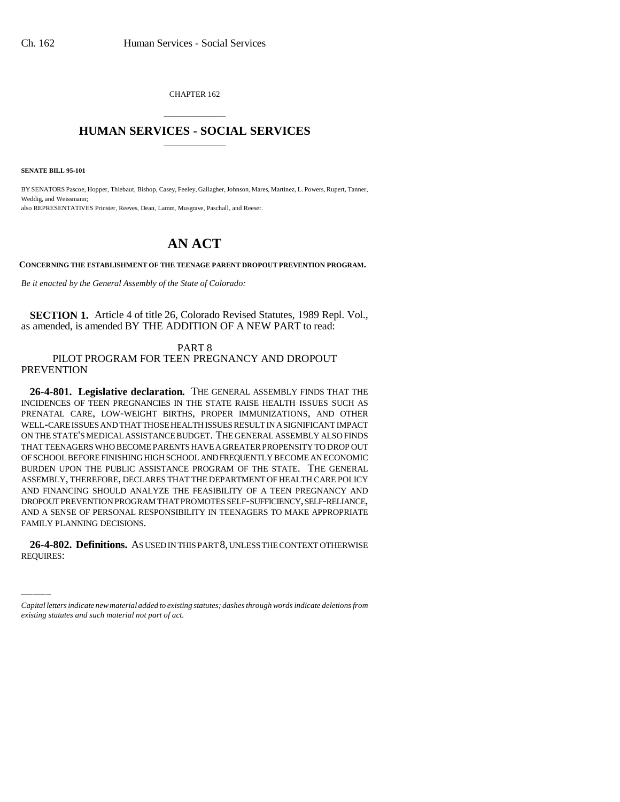CHAPTER 162

## \_\_\_\_\_\_\_\_\_\_\_\_\_\_\_ **HUMAN SERVICES - SOCIAL SERVICES** \_\_\_\_\_\_\_\_\_\_\_\_\_\_\_

**SENATE BILL 95-101**

BY SENATORS Pascoe, Hopper, Thiebaut, Bishop, Casey, Feeley, Gallagher, Johnson, Mares, Martinez, L. Powers, Rupert, Tanner, Weddig, and Weissmann; also REPRESENTATIVES Prinster, Reeves, Dean, Lamm, Musgrave, Paschall, and Reeser.

## **AN ACT**

**CONCERNING THE ESTABLISHMENT OF THE TEENAGE PARENT DROPOUT PREVENTION PROGRAM.**

*Be it enacted by the General Assembly of the State of Colorado:*

**SECTION 1.** Article 4 of title 26, Colorado Revised Statutes, 1989 Repl. Vol., as amended, is amended BY THE ADDITION OF A NEW PART to read:

PART 8 PILOT PROGRAM FOR TEEN PREGNANCY AND DROPOUT **PREVENTION** 

FAMILY PLANNING DECISIONS. **26-4-801. Legislative declaration.** THE GENERAL ASSEMBLY FINDS THAT THE INCIDENCES OF TEEN PREGNANCIES IN THE STATE RAISE HEALTH ISSUES SUCH AS PRENATAL CARE, LOW-WEIGHT BIRTHS, PROPER IMMUNIZATIONS, AND OTHER WELL-CARE ISSUES AND THAT THOSE HEALTH ISSUES RESULT IN A SIGNIFICANT IMPACT ON THE STATE'S MEDICAL ASSISTANCE BUDGET. THE GENERAL ASSEMBLY ALSO FINDS THAT TEENAGERS WHO BECOME PARENTS HAVE A GREATER PROPENSITY TO DROP OUT OF SCHOOL BEFORE FINISHING HIGH SCHOOL AND FREQUENTLY BECOME AN ECONOMIC BURDEN UPON THE PUBLIC ASSISTANCE PROGRAM OF THE STATE. THE GENERAL ASSEMBLY, THEREFORE, DECLARES THAT THE DEPARTMENT OF HEALTH CARE POLICY AND FINANCING SHOULD ANALYZE THE FEASIBILITY OF A TEEN PREGNANCY AND DROPOUT PREVENTION PROGRAM THAT PROMOTES SELF-SUFFICIENCY, SELF-RELIANCE, AND A SENSE OF PERSONAL RESPONSIBILITY IN TEENAGERS TO MAKE APPROPRIATE

**26-4-802. Definitions.** AS USED IN THIS PART 8, UNLESS THE CONTEXT OTHERWISE REQUIRES:

*Capital letters indicate new material added to existing statutes; dashes through words indicate deletions from existing statutes and such material not part of act.*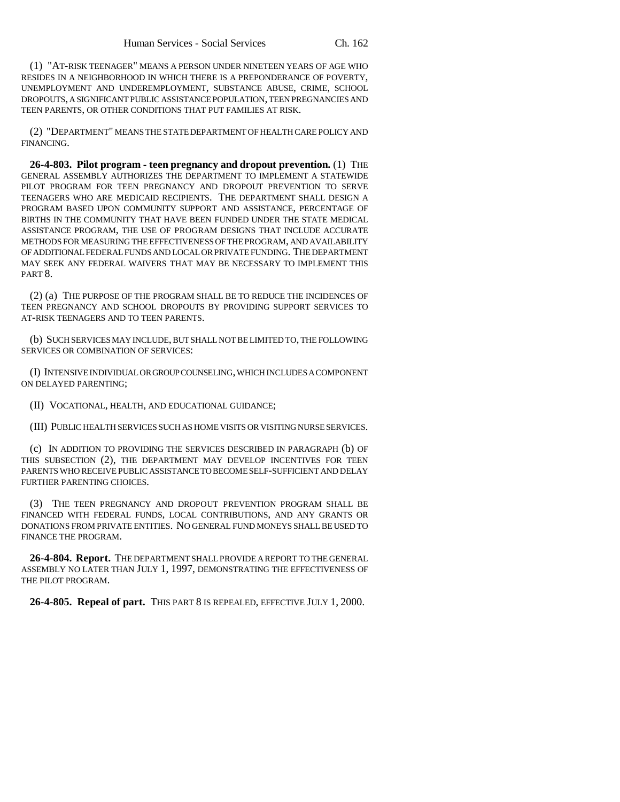(1) "AT-RISK TEENAGER" MEANS A PERSON UNDER NINETEEN YEARS OF AGE WHO RESIDES IN A NEIGHBORHOOD IN WHICH THERE IS A PREPONDERANCE OF POVERTY, UNEMPLOYMENT AND UNDEREMPLOYMENT, SUBSTANCE ABUSE, CRIME, SCHOOL DROPOUTS, A SIGNIFICANT PUBLIC ASSISTANCE POPULATION, TEEN PREGNANCIES AND TEEN PARENTS, OR OTHER CONDITIONS THAT PUT FAMILIES AT RISK.

(2) "DEPARTMENT" MEANS THE STATE DEPARTMENT OF HEALTH CARE POLICY AND FINANCING.

**26-4-803. Pilot program - teen pregnancy and dropout prevention.** (1) THE GENERAL ASSEMBLY AUTHORIZES THE DEPARTMENT TO IMPLEMENT A STATEWIDE PILOT PROGRAM FOR TEEN PREGNANCY AND DROPOUT PREVENTION TO SERVE TEENAGERS WHO ARE MEDICAID RECIPIENTS. THE DEPARTMENT SHALL DESIGN A PROGRAM BASED UPON COMMUNITY SUPPORT AND ASSISTANCE, PERCENTAGE OF BIRTHS IN THE COMMUNITY THAT HAVE BEEN FUNDED UNDER THE STATE MEDICAL ASSISTANCE PROGRAM, THE USE OF PROGRAM DESIGNS THAT INCLUDE ACCURATE METHODS FOR MEASURING THE EFFECTIVENESS OF THE PROGRAM, AND AVAILABILITY OF ADDITIONAL FEDERAL FUNDS AND LOCAL OR PRIVATE FUNDING. THE DEPARTMENT MAY SEEK ANY FEDERAL WAIVERS THAT MAY BE NECESSARY TO IMPLEMENT THIS PART<sub>8</sub>.

(2) (a) THE PURPOSE OF THE PROGRAM SHALL BE TO REDUCE THE INCIDENCES OF TEEN PREGNANCY AND SCHOOL DROPOUTS BY PROVIDING SUPPORT SERVICES TO AT-RISK TEENAGERS AND TO TEEN PARENTS.

(b) SUCH SERVICES MAY INCLUDE, BUT SHALL NOT BE LIMITED TO, THE FOLLOWING SERVICES OR COMBINATION OF SERVICES:

(I) INTENSIVE INDIVIDUAL OR GROUP COUNSELING, WHICH INCLUDES A COMPONENT ON DELAYED PARENTING;

(II) VOCATIONAL, HEALTH, AND EDUCATIONAL GUIDANCE;

(III) PUBLIC HEALTH SERVICES SUCH AS HOME VISITS OR VISITING NURSE SERVICES.

(c) IN ADDITION TO PROVIDING THE SERVICES DESCRIBED IN PARAGRAPH (b) OF THIS SUBSECTION (2), THE DEPARTMENT MAY DEVELOP INCENTIVES FOR TEEN PARENTS WHO RECEIVE PUBLIC ASSISTANCE TO BECOME SELF-SUFFICIENT AND DELAY FURTHER PARENTING CHOICES.

(3) THE TEEN PREGNANCY AND DROPOUT PREVENTION PROGRAM SHALL BE FINANCED WITH FEDERAL FUNDS, LOCAL CONTRIBUTIONS, AND ANY GRANTS OR DONATIONS FROM PRIVATE ENTITIES. NO GENERAL FUND MONEYS SHALL BE USED TO FINANCE THE PROGRAM.

**26-4-804. Report.** THE DEPARTMENT SHALL PROVIDE A REPORT TO THE GENERAL ASSEMBLY NO LATER THAN JULY 1, 1997, DEMONSTRATING THE EFFECTIVENESS OF THE PILOT PROGRAM.

**26-4-805. Repeal of part.** THIS PART 8 IS REPEALED, EFFECTIVE JULY 1, 2000.